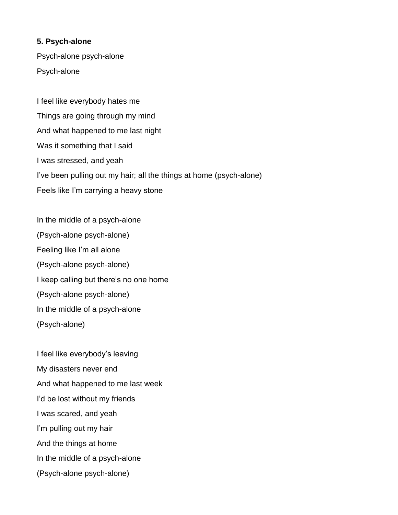## **5. Psych-alone**

Psych-alone psych-alone Psych-alone

I feel like everybody hates me Things are going through my mind And what happened to me last night Was it something that I said I was stressed, and yeah I've been pulling out my hair; all the things at home (psych-alone) Feels like I'm carrying a heavy stone

In the middle of a psych-alone (Psych-alone psych-alone) Feeling like I'm all alone (Psych-alone psych-alone) I keep calling but there's no one home (Psych-alone psych-alone) In the middle of a psych-alone (Psych-alone)

I feel like everybody's leaving My disasters never end And what happened to me last week I'd be lost without my friends I was scared, and yeah I'm pulling out my hair And the things at home In the middle of a psych-alone (Psych-alone psych-alone)